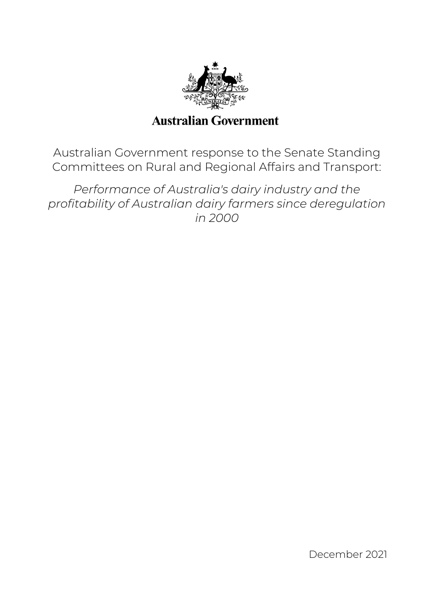

# **Australian Government**

Australian Government response to the Senate Standing Committees on Rural and Regional Affairs and Transport:

*Performance of Australia's dairy industry and the profitability of Australian dairy farmers since deregulation in 2000* 

December 2021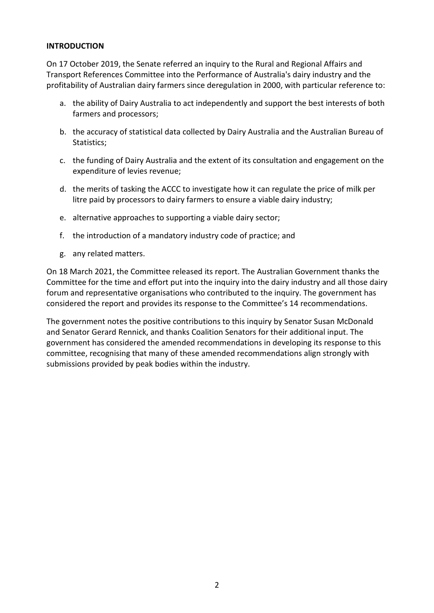# **INTRODUCTION**

On 17 October 2019, the Senate referred an inquiry to the Rural and Regional Affairs and Transport References Committee into the Performance of Australia's dairy industry and the profitability of Australian dairy farmers since deregulation in 2000, with particular reference to:

- a. the ability of Dairy Australia to act independently and support the best interests of both farmers and processors;
- b. the accuracy of statistical data collected by Dairy Australia and the Australian Bureau of Statistics;
- c. the funding of Dairy Australia and the extent of its consultation and engagement on the expenditure of levies revenue;
- d. the merits of tasking the ACCC to investigate how it can regulate the price of milk per litre paid by processors to dairy farmers to ensure a viable dairy industry;
- e. alternative approaches to supporting a viable dairy sector;
- f. the introduction of a mandatory industry code of practice; and
- g. any related matters.

On 18 March 2021, the Committee released its report. The Australian Government thanks the Committee for the time and effort put into the inquiry into the dairy industry and all those dairy forum and representative organisations who contributed to the inquiry. The government has considered the report and provides its response to the Committee's 14 recommendations.

The government notes the positive contributions to this inquiry by Senator Susan McDonald and Senator Gerard Rennick, and thanks Coalition Senators for their additional input. The government has considered the amended recommendations in developing its response to this committee, recognising that many of these amended recommendations align strongly with submissions provided by peak bodies within the industry.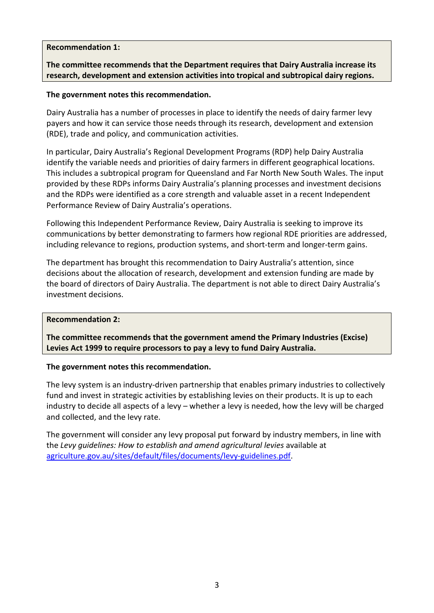# **Recommendation 1:**

# **The committee recommends that the Department requires that Dairy Australia increase its research, development and extension activities into tropical and subtropical dairy regions.**

# **The government notes this recommendation.**

Dairy Australia has a number of processes in place to identify the needs of dairy farmer levy payers and how it can service those needs through its research, development and extension (RDE), trade and policy, and communication activities.

In particular, Dairy Australia's Regional Development Programs (RDP) help Dairy Australia identify the variable needs and priorities of dairy farmers in different geographical locations. This includes a subtropical program for Queensland and Far North New South Wales. The input provided by these RDPs informs Dairy Australia's planning processes and investment decisions and the RDPs were identified as a core strength and valuable asset in a recent Independent Performance Review of Dairy Australia's operations.

Following this Independent Performance Review, Dairy Australia is seeking to improve its communications by better demonstrating to farmers how regional RDE priorities are addressed, including relevance to regions, production systems, and short-term and longer-term gains.

The department has brought this recommendation to Dairy Australia's attention, since decisions about the allocation of research, development and extension funding are made by the board of directors of Dairy Australia. The department is not able to direct Dairy Australia's investment decisions.

## **Recommendation 2:**

**The committee recommends that the government amend the Primary Industries (Excise) Levies Act 1999 to require processors to pay a levy to fund Dairy Australia.** 

## **The government notes this recommendation.**

The levy system is an industry-driven partnership that enables primary industries to collectively fund and invest in strategic activities by establishing levies on their products. It is up to each industry to decide all aspects of a levy – whether a levy is needed, how the levy will be charged and collected, and the levy rate.

The government will consider any levy proposal put forward by industry members, in line with the *Levy guidelines: How to establish and amend agricultural levies* available at [agriculture.gov.au/sites/default/files/documents/levy-guidelines.pdf.](https://www.agriculture.gov.au/sites/default/files/documents/levy-guidelines.pdf)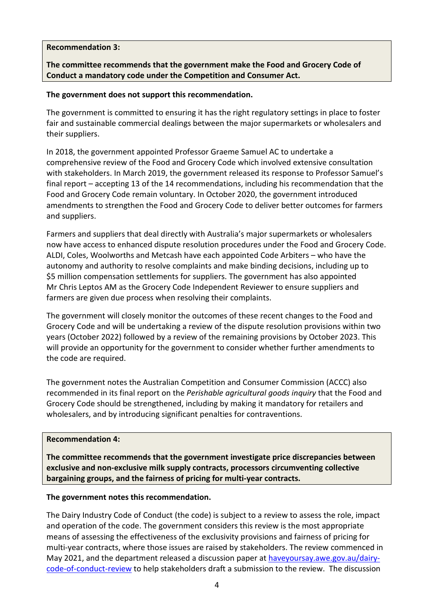# **Recommendation 3:**

**The committee recommends that the government make the Food and Grocery Code of Conduct a mandatory code under the Competition and Consumer Act.** 

## **The government does not support this recommendation.**

The government is committed to ensuring it has the right regulatory settings in place to foster fair and sustainable commercial dealings between the major supermarkets or wholesalers and their suppliers.

In 2018, the government appointed Professor Graeme Samuel AC to undertake a comprehensive review of the Food and Grocery Code which involved extensive consultation with stakeholders. In March 2019, the government released its response to Professor Samuel's final report – accepting 13 of the 14 recommendations, including his recommendation that the Food and Grocery Code remain voluntary. In October 2020, the government introduced amendments to strengthen the Food and Grocery Code to deliver better outcomes for farmers and suppliers.

Farmers and suppliers that deal directly with Australia's major supermarkets or wholesalers now have access to enhanced dispute resolution procedures under the Food and Grocery Code. ALDI, Coles, Woolworths and Metcash have each appointed Code Arbiters – who have the autonomy and authority to resolve complaints and make binding decisions, including up to \$5 million compensation settlements for suppliers. The government has also appointed Mr Chris Leptos AM as the Grocery Code Independent Reviewer to ensure suppliers and farmers are given due process when resolving their complaints.

The government will closely monitor the outcomes of these recent changes to the Food and Grocery Code and will be undertaking a review of the dispute resolution provisions within two years (October 2022) followed by a review of the remaining provisions by October 2023. This will provide an opportunity for the government to consider whether further amendments to the code are required.

The government notes the Australian Competition and Consumer Commission (ACCC) also recommended in its final report on the *Perishable agricultural goods inquiry* that the Food and Grocery Code should be strengthened, including by making it mandatory for retailers and wholesalers, and by introducing significant penalties for contraventions.

# **Recommendation 4:**

**The committee recommends that the government investigate price discrepancies between exclusive and non-exclusive milk supply contracts, processors circumventing collective bargaining groups, and the fairness of pricing for multi-year contracts.** 

# **The government notes this recommendation.**

The Dairy Industry Code of Conduct (the code) is subject to a review to assess the role, impact and operation of the code. The government considers this review is the most appropriate means of assessing the effectiveness of the exclusivity provisions and fairness of pricing for multi-year contracts, where those issues are raised by stakeholders. The review commenced in May 2021, and the department released a discussion paper at [haveyoursay.awe.gov.au/dairy](https://haveyoursay.awe.gov.au/dairy-code-of-conduct-review)[code-of-conduct-review](https://haveyoursay.awe.gov.au/dairy-code-of-conduct-review) to help stakeholders draft a submission to the review. The discussion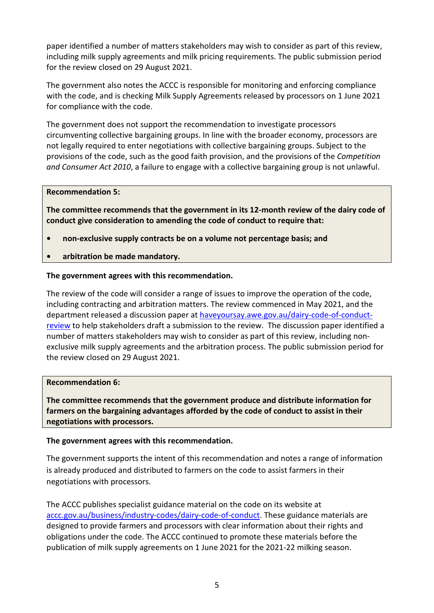paper identified a number of matters stakeholders may wish to consider as part of this review, including milk supply agreements and milk pricing requirements. The public submission period for the review closed on 29 August 2021.

The government also notes the ACCC is responsible for monitoring and enforcing compliance with the code, and is checking Milk Supply Agreements released by processors on 1 June 2021 for compliance with the code.

The government does not support the recommendation to investigate processors circumventing collective bargaining groups. In line with the broader economy, processors are not legally required to enter negotiations with collective bargaining groups. Subject to the provisions of the code, such as the good faith provision, and the provisions of the *Competition and Consumer Act 2010*, a failure to engage with a collective bargaining group is not unlawful.

## **Recommendation 5:**

**The committee recommends that the government in its 12-month review of the dairy code of conduct give consideration to amending the code of conduct to require that:** 

- **non-exclusive supply contracts be on a volume not percentage basis; and**
- **arbitration be made mandatory.**

# **The government agrees with this recommendation.**

The review of the code will consider a range of issues to improve the operation of the code, including contracting and arbitration matters. The review commenced in May 2021, and the department released a discussion paper at [haveyoursay.awe.gov.au/dairy-code-of-conduct](https://haveyoursay.awe.gov.au/dairy-code-of-conduct-review)[review](https://haveyoursay.awe.gov.au/dairy-code-of-conduct-review) to help stakeholders draft a submission to the review. The discussion paper identified a number of matters stakeholders may wish to consider as part of this review, including nonexclusive milk supply agreements and the arbitration process. The public submission period for the review closed on 29 August 2021.

## **Recommendation 6:**

**The committee recommends that the government produce and distribute information for farmers on the bargaining advantages afforded by the code of conduct to assist in their negotiations with processors.** 

## **The government agrees with this recommendation.**

The government supports the intent of this recommendation and notes a range of information is already produced and distributed to farmers on the code to assist farmers in their negotiations with processors.

The ACCC publishes specialist guidance material on the code on its website at [accc.gov.au/business/industry-codes/dairy-code-of-conduct.](https://www.accc.gov.au/business/industry-codes/dairy-code-of-conduct) These guidance materials are designed to provide farmers and processors with clear information about their rights and obligations under the code. The ACCC continued to promote these materials before the publication of milk supply agreements on 1 June 2021 for the 2021-22 milking season.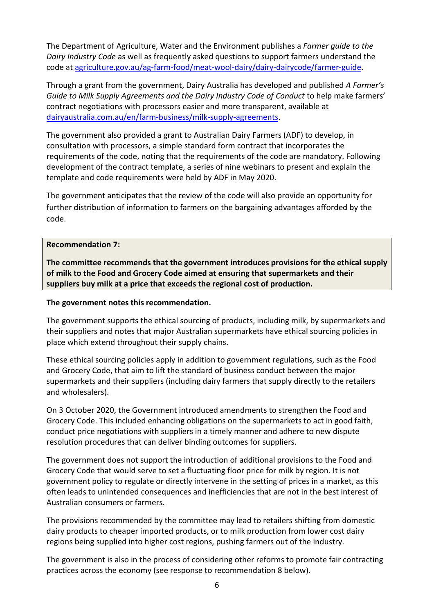The Department of Agriculture, Water and the Environment publishes a *Farmer guide to the Dairy Industry Code* as well as frequently asked questions to support farmers understand the code a[t agriculture.gov.au/ag-farm-food/meat-wool-dairy/dairy-dairycode/farmer-guide.](https://www.agriculture.gov.au/ag-farm-food/meat-wool-dairy/dairy-dairycode/farmer-guide)

Through a grant from the government, Dairy Australia has developed and published *A Farmer's Guide to Milk Supply Agreements and the Dairy Industry Code of Conduct* to help make farmers' contract negotiations with processors easier and more transparent, available at [dairyaustralia.com.au/en/farm-business/milk-supply-agreements.](https://www.dairyaustralia.com.au/en/farm-business/milk-supply-agreements)

The government also provided a grant to Australian Dairy Farmers (ADF) to develop, in consultation with processors, a simple standard form contract that incorporates the requirements of the code, noting that the requirements of the code are mandatory. Following development of the contract template, a series of nine webinars to present and explain the template and code requirements were held by ADF in May 2020.

The government anticipates that the review of the code will also provide an opportunity for further distribution of information to farmers on the bargaining advantages afforded by the code.

## **Recommendation 7:**

**The committee recommends that the government introduces provisions for the ethical supply of milk to the Food and Grocery Code aimed at ensuring that supermarkets and their suppliers buy milk at a price that exceeds the regional cost of production.** 

# **The government notes this recommendation.**

The government supports the ethical sourcing of products, including milk, by supermarkets and their suppliers and notes that major Australian supermarkets have ethical sourcing policies in place which extend throughout their supply chains.

These ethical sourcing policies apply in addition to government regulations, such as the Food and Grocery Code, that aim to lift the standard of business conduct between the major supermarkets and their suppliers (including dairy farmers that supply directly to the retailers and wholesalers).

On 3 October 2020, the Government introduced amendments to strengthen the Food and Grocery Code. This included enhancing obligations on the supermarkets to act in good faith, conduct price negotiations with suppliers in a timely manner and adhere to new dispute resolution procedures that can deliver binding outcomes for suppliers.

The government does not support the introduction of additional provisions to the Food and Grocery Code that would serve to set a fluctuating floor price for milk by region. It is not government policy to regulate or directly intervene in the setting of prices in a market, as this often leads to unintended consequences and inefficiencies that are not in the best interest of Australian consumers or farmers.

The provisions recommended by the committee may lead to retailers shifting from domestic dairy products to cheaper imported products, or to milk production from lower cost dairy regions being supplied into higher cost regions, pushing farmers out of the industry.

The government is also in the process of considering other reforms to promote fair contracting practices across the economy (see response to recommendation 8 below).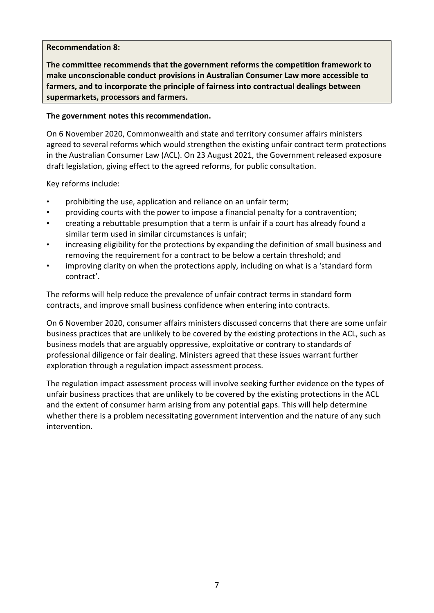# **Recommendation 8:**

**The committee recommends that the government reforms the competition framework to make unconscionable conduct provisions in Australian Consumer Law more accessible to farmers, and to incorporate the principle of fairness into contractual dealings between supermarkets, processors and farmers.** 

# **The government notes this recommendation.**

On 6 November 2020, Commonwealth and state and territory consumer affairs ministers agreed to several reforms which would strengthen the existing unfair contract term protections in the Australian Consumer Law (ACL). On 23 August 2021, the Government released exposure draft legislation, giving effect to the agreed reforms, for public consultation.

Key reforms include:

- prohibiting the use, application and reliance on an unfair term;
- providing courts with the power to impose a financial penalty for a contravention;
- creating a rebuttable presumption that a term is unfair if a court has already found a similar term used in similar circumstances is unfair;
- increasing eligibility for the protections by expanding the definition of small business and removing the requirement for a contract to be below a certain threshold; and
- improving clarity on when the protections apply, including on what is a 'standard form contract'.

The reforms will help reduce the prevalence of unfair contract terms in standard form contracts, and improve small business confidence when entering into contracts.

On 6 November 2020, consumer affairs ministers discussed concerns that there are some unfair business practices that are unlikely to be covered by the existing protections in the ACL, such as business models that are arguably oppressive, exploitative or contrary to standards of professional diligence or fair dealing. Ministers agreed that these issues warrant further exploration through a regulation impact assessment process.

The regulation impact assessment process will involve seeking further evidence on the types of unfair business practices that are unlikely to be covered by the existing protections in the ACL and the extent of consumer harm arising from any potential gaps. This will help determine whether there is a problem necessitating government intervention and the nature of any such intervention.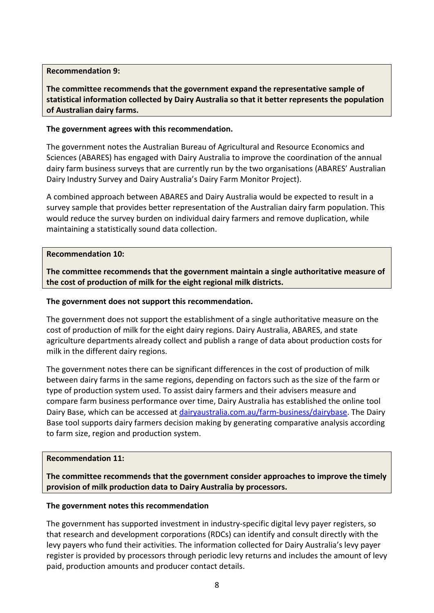## **Recommendation 9:**

**The committee recommends that the government expand the representative sample of statistical information collected by Dairy Australia so that it better represents the population of Australian dairy farms.** 

# **The government agrees with this recommendation.**

The government notes the Australian Bureau of Agricultural and Resource Economics and Sciences (ABARES) has engaged with Dairy Australia to improve the coordination of the annual dairy farm business surveys that are currently run by the two organisations (ABARES' Australian Dairy Industry Survey and Dairy Australia's Dairy Farm Monitor Project).

A combined approach between ABARES and Dairy Australia would be expected to result in a survey sample that provides better representation of the Australian dairy farm population. This would reduce the survey burden on individual dairy farmers and remove duplication, while maintaining a statistically sound data collection.

## **Recommendation 10:**

**The committee recommends that the government maintain a single authoritative measure of the cost of production of milk for the eight regional milk districts.** 

## **The government does not support this recommendation.**

The government does not support the establishment of a single authoritative measure on the cost of production of milk for the eight dairy regions. Dairy Australia, ABARES, and state agriculture departments already collect and publish a range of data about production costs for milk in the different dairy regions.

The government notes there can be significant differences in the cost of production of milk between dairy farms in the same regions, depending on factors such as the size of the farm or type of production system used. To assist dairy farmers and their advisers measure and compare farm business performance over time, Dairy Australia has established the online tool Dairy Base, which can be accessed at [dairyaustralia.com.au/farm-business/dairybase.](https://www.dairyaustralia.com.au/farm-business/dairybase) The Dairy Base tool supports dairy farmers decision making by generating comparative analysis according to farm size, region and production system.

## **Recommendation 11:**

**The committee recommends that the government consider approaches to improve the timely provision of milk production data to Dairy Australia by processors.**

## **The government notes this recommendation**

The government has supported investment in industry-specific digital levy payer registers, so that research and development corporations (RDCs) can identify and consult directly with the levy payers who fund their activities. The information collected for Dairy Australia's levy payer register is provided by processors through periodic levy returns and includes the amount of levy paid, production amounts and producer contact details.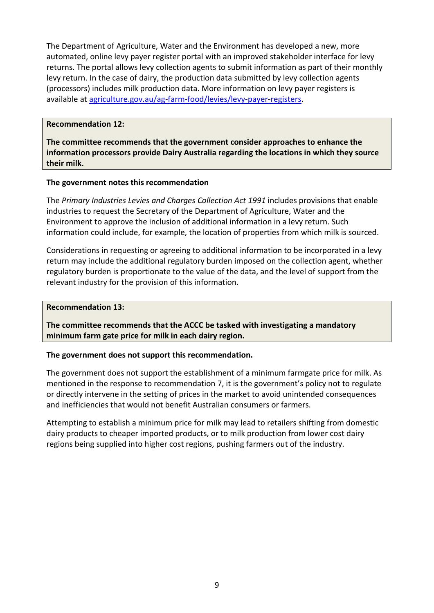The Department of Agriculture, Water and the Environment has developed a new, more automated, online levy payer register portal with an improved stakeholder interface for levy returns. The portal allows levy collection agents to submit information as part of their monthly levy return. In the case of dairy, the production data submitted by levy collection agents (processors) includes milk production data. More information on levy payer registers is available at [agriculture.gov.au/ag-farm-food/levies/levy-payer-registers.](http://www.agriculture.gov.au/ag-farm-food/levies/levy-payer-registers)

# **Recommendation 12:**

**The committee recommends that the government consider approaches to enhance the information processors provide Dairy Australia regarding the locations in which they source their milk.** 

# **The government notes this recommendation**

The *Primary Industries Levies and Charges Collection Act 1991* includes provisions that enable industries to request the Secretary of the Department of Agriculture, Water and the Environment to approve the inclusion of additional information in a levy return. Such information could include, for example, the location of properties from which milk is sourced.

Considerations in requesting or agreeing to additional information to be incorporated in a levy return may include the additional regulatory burden imposed on the collection agent, whether regulatory burden is proportionate to the value of the data, and the level of support from the relevant industry for the provision of this information.

# **Recommendation 13:**

**The committee recommends that the ACCC be tasked with investigating a mandatory minimum farm gate price for milk in each dairy region.** 

# **The government does not support this recommendation.**

The government does not support the establishment of a minimum farmgate price for milk. As mentioned in the response to recommendation 7, it is the government's policy not to regulate or directly intervene in the setting of prices in the market to avoid unintended consequences and inefficiencies that would not benefit Australian consumers or farmers.

Attempting to establish a minimum price for milk may lead to retailers shifting from domestic dairy products to cheaper imported products, or to milk production from lower cost dairy regions being supplied into higher cost regions, pushing farmers out of the industry.